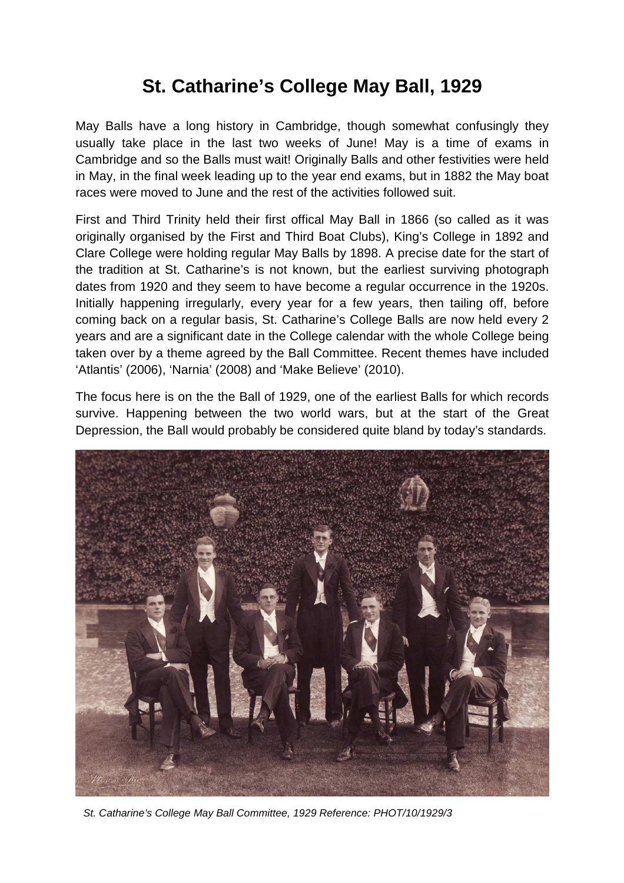## **St. Catharine's College May Ball, 1929**

May Balls have a long history in Cambridge, though somewhat confusingly they usually take place in the last two weeks of June! May is a time of exams in Cambridge and so the Balls must wait! Originally Balls and other festivities were held in May, in the final week leading up to the year end exams, but in 1882 the May boat races were moved to June and the rest of the activities followed suit.

First and Third Trinity held their first offical May Ball in 1866 (so called as it was originally organised by the First and Third Boat Clubs), King's College in 1892 and Clare College were holding regular May Balls by 1898. A precise date for the start of the tradition at St. Catharine's is not known, but the earliest surviving photograph dates from 1920 and they seem to have become a regular occurrence in the 1920s. Initially happening irregularly, every year for a few years, then tailing off, before coming back on a regular basis, St. Catharine's College Balls are now held every 2 years and are a significant date in the College calendar with the whole College being taken over by a theme agreed by the Ball Committee. Recent themes have included 'Atlantis' (2006), 'Narnia' (2008) and 'Make Believe' (2010).

The focus here is on the the Ball of 1929, one of the earliest Balls for which records survive. Happening between the two world wars, but at the start of the Great Depression, the Ball would probably be considered quite bland by today's standards.



St. Catharine's College May Ball Committee, 1929 Reference: PHOT/10/1929/3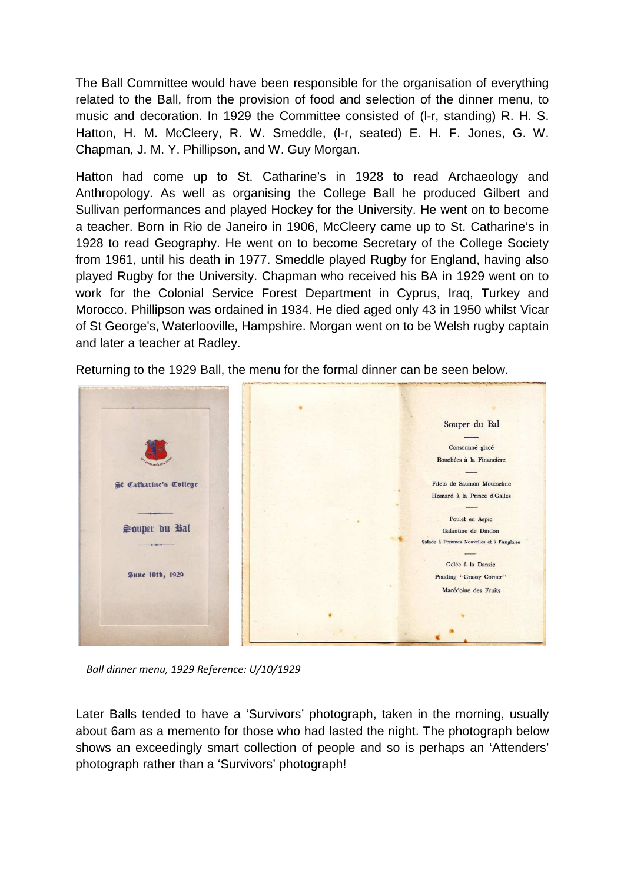The Ball Committee would have been responsible for the organisation of everything related to the Ball, from the provision of food and selection of the dinner menu, to music and decoration. In 1929 the Committee consisted of (l-r, standing) R. H. S. Hatton, H. M. McCleery, R. W. Smeddle, (l-r, seated) E. H. F. Jones, G. W. Chapman, J. M. Y. Phillipson, and W. Guy Morgan.

Hatton had come up to St. Catharine's in 1928 to read Archaeology and Anthropology. As well as organising the College Ball he produced Gilbert and Sullivan performances and played Hockey for the University. He went on to become a teacher. Born in Rio de Janeiro in 1906, McCleery came up to St. Catharine's in 1928 to read Geography. He went on to become Secretary of the College Society from 1961, until his death in 1977. Smeddle played Rugby for England, having also played Rugby for the University. Chapman who received his BA in 1929 went on to work for the Colonial Service Forest Department in Cyprus, Iraq, Turkey and Morocco. Phillipson was ordained in 1934. He died aged only 43 in 1950 whilst Vicar of St George's, Waterlooville, Hampshire. Morgan went on to be Welsh rugby captain and later a teacher at Radley.



Returning to the 1929 Ball, the menu for the formal dinner can be seen below.

*Ball dinner menu, 1929 Reference: U/10/1929*

Later Balls tended to have a 'Survivors' photograph, taken in the morning, usually about 6am as a memento for those who had lasted the night. The photograph below shows an exceedingly smart collection of people and so is perhaps an 'Attenders' photograph rather than a 'Survivors' photograph!